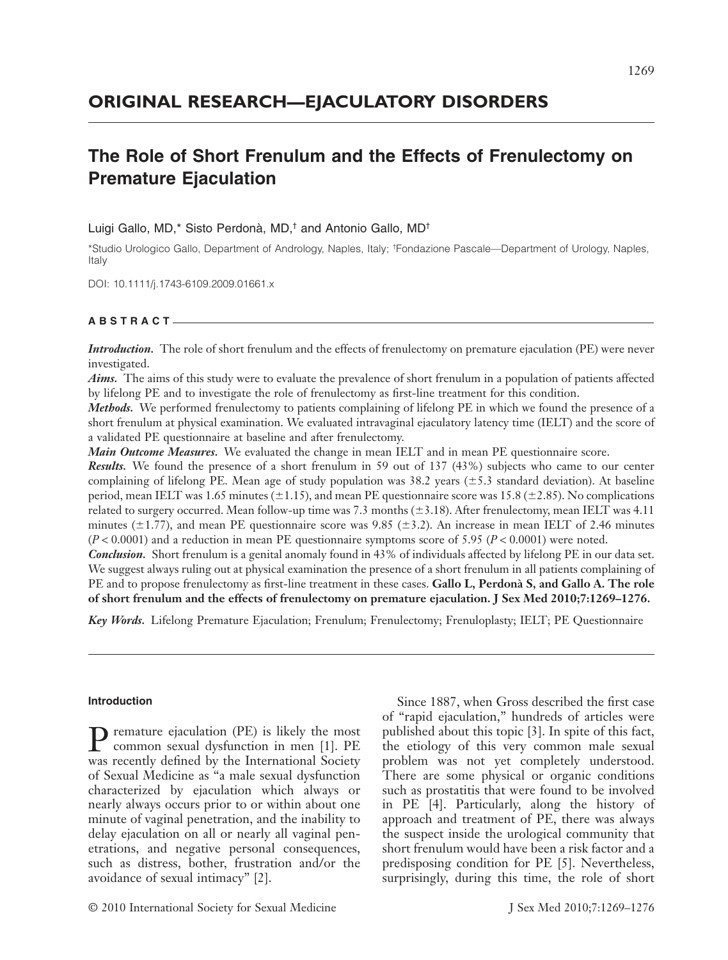# **ORIGINAL RESEARCH—EJACULATORY DISORDERS**

# **The Role of Short Frenulum and the Effects of Frenulectomy on Premature Ejaculation**

Luigi Gallo, MD,\* Sisto Perdonà, MD,† and Antonio Gallo, MD†

\*Studio Urologico Gallo, Department of Andrology, Naples, Italy; †Fondazione Pascale—Department of Urology, Naples, Italy

DOI: 10.1111/j.1743-6109.2009.01661.x

# **ABSTRACT**

*Introduction.* The role of short frenulum and the effects of frenulectomy on premature ejaculation (PE) were never investigated.

*Aims.* The aims of this study were to evaluate the prevalence of short frenulum in a population of patients affected by lifelong PE and to investigate the role of frenulectomy as first-line treatment for this condition.

*Methods.* We performed frenulectomy to patients complaining of lifelong PE in which we found the presence of a short frenulum at physical examination. We evaluated intravaginal ejaculatory latency time (IELT) and the score of a validated PE questionnaire at baseline and after frenulectomy.

*Main Outcome Measures.* We evaluated the change in mean IELT and in mean PE questionnaire score.

*Results.* We found the presence of a short frenulum in 59 out of 137 (43%) subjects who came to our center complaining of lifelong PE. Mean age of study population was 38.2 years (±5.3 standard deviation). At baseline period, mean IELT was 1.65 minutes (±1.15), and mean PE questionnaire score was 15.8 (±2.85). No complications related to surgery occurred. Mean follow-up time was 7.3 months ( $\pm$ 3.18). After frenulectomy, mean IELT was 4.11 minutes ( $\pm$ 1.77), and mean PE questionnaire score was 9.85 ( $\pm$ 3.2). An increase in mean IELT of 2.46 minutes (*P* < 0.0001) and a reduction in mean PE questionnaire symptoms score of 5.95 (*P* < 0.0001) were noted. *Conclusion.* Short frenulum is a genital anomaly found in 43% of individuals affected by lifelong PE in our data set. We suggest always ruling out at physical examination the presence of a short frenulum in all patients complaining of PE and to propose frenulectomy as first-line treatment in these cases. **Gallo L, Perdonà S, and Gallo A. The role**

**of short frenulum and the effects of frenulectomy on premature ejaculation. J Sex Med 2010;7:1269–1276.**

*Key Words.* Lifelong Premature Ejaculation; Frenulum; Frenulectomy; Frenuloplasty; IELT; PE Questionnaire

## **Introduction**

**P** remature ejaculation (PE) is likely the most<br>common sexual dysfunction in men [1]. PE common sexual dysfunction in men [1]. PE was recently defined by the International Society of Sexual Medicine as "a male sexual dysfunction characterized by ejaculation which always or nearly always occurs prior to or within about one minute of vaginal penetration, and the inability to delay ejaculation on all or nearly all vaginal penetrations, and negative personal consequences, such as distress, bother, frustration and/or the avoidance of sexual intimacy" [2].

© 2010 International Society for Sexual Medicine J Sex Med 2010;7:1269–1276

Since 1887, when Gross described the first case of "rapid ejaculation," hundreds of articles were published about this topic [3]. In spite of this fact, the etiology of this very common male sexual problem was not yet completely understood. There are some physical or organic conditions such as prostatitis that were found to be involved in PE [4]. Particularly, along the history of approach and treatment of PE, there was always the suspect inside the urological community that short frenulum would have been a risk factor and a predisposing condition for PE [5]. Nevertheless, surprisingly, during this time, the role of short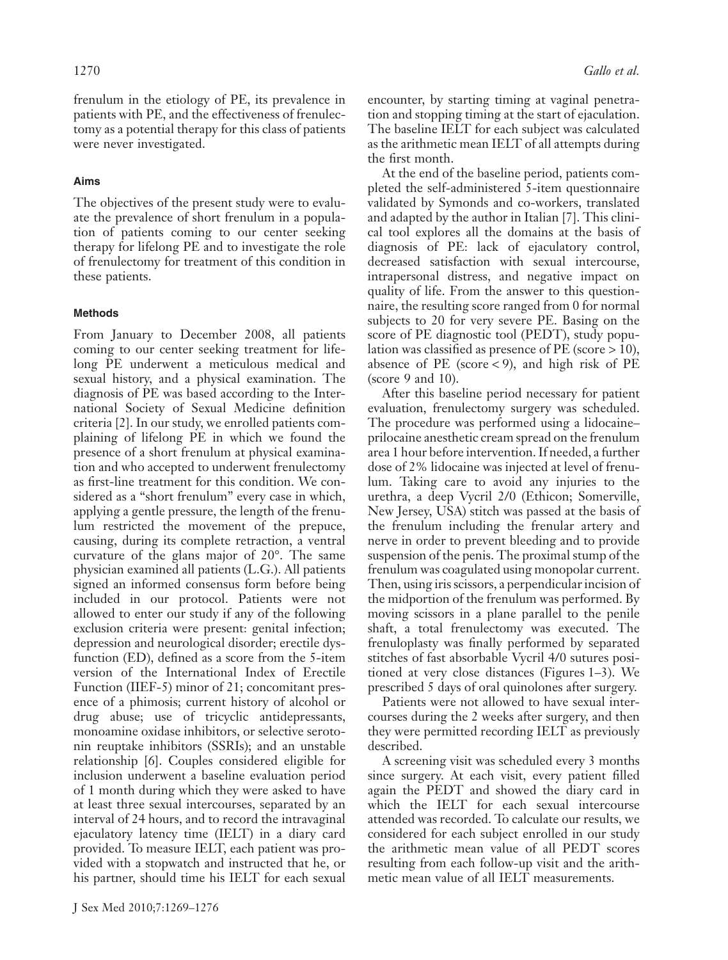frenulum in the etiology of PE, its prevalence in patients with PE, and the effectiveness of frenulectomy as a potential therapy for this class of patients were never investigated.

# **Aims**

The objectives of the present study were to evaluate the prevalence of short frenulum in a population of patients coming to our center seeking therapy for lifelong PE and to investigate the role of frenulectomy for treatment of this condition in these patients.

# **Methods**

From January to December 2008, all patients coming to our center seeking treatment for lifelong PE underwent a meticulous medical and sexual history, and a physical examination. The diagnosis of PE was based according to the International Society of Sexual Medicine definition criteria [2]. In our study, we enrolled patients complaining of lifelong PE in which we found the presence of a short frenulum at physical examination and who accepted to underwent frenulectomy as first-line treatment for this condition. We considered as a "short frenulum" every case in which, applying a gentle pressure, the length of the frenulum restricted the movement of the prepuce, causing, during its complete retraction, a ventral curvature of the glans major of 20°. The same physician examined all patients (L.G.). All patients signed an informed consensus form before being included in our protocol. Patients were not allowed to enter our study if any of the following exclusion criteria were present: genital infection; depression and neurological disorder; erectile dysfunction (ED), defined as a score from the 5-item version of the International Index of Erectile Function (IIEF-5) minor of 21; concomitant presence of a phimosis; current history of alcohol or drug abuse; use of tricyclic antidepressants, monoamine oxidase inhibitors, or selective serotonin reuptake inhibitors (SSRIs); and an unstable relationship [6]. Couples considered eligible for inclusion underwent a baseline evaluation period of 1 month during which they were asked to have at least three sexual intercourses, separated by an interval of 24 hours, and to record the intravaginal ejaculatory latency time (IELT) in a diary card provided. To measure IELT, each patient was provided with a stopwatch and instructed that he, or his partner, should time his IELT for each sexual

encounter, by starting timing at vaginal penetration and stopping timing at the start of ejaculation. The baseline IELT for each subject was calculated as the arithmetic mean IELT of all attempts during the first month.

At the end of the baseline period, patients completed the self-administered 5-item questionnaire validated by Symonds and co-workers, translated and adapted by the author in Italian [7]. This clinical tool explores all the domains at the basis of diagnosis of PE: lack of ejaculatory control, decreased satisfaction with sexual intercourse, intrapersonal distress, and negative impact on quality of life. From the answer to this questionnaire, the resulting score ranged from 0 for normal subjects to 20 for very severe PE. Basing on the score of PE diagnostic tool (PEDT), study population was classified as presence of PE (score > 10), absence of PE (score  $< 9$ ), and high risk of PE (score 9 and 10).

After this baseline period necessary for patient evaluation, frenulectomy surgery was scheduled. The procedure was performed using a lidocaine– prilocaine anesthetic cream spread on the frenulum area 1 hour before intervention. If needed, a further dose of 2% lidocaine was injected at level of frenulum. Taking care to avoid any injuries to the urethra, a deep Vycril 2/0 (Ethicon; Somerville, New Jersey, USA) stitch was passed at the basis of the frenulum including the frenular artery and nerve in order to prevent bleeding and to provide suspension of the penis. The proximal stump of the frenulum was coagulated using monopolar current. Then, using iris scissors, a perpendicular incision of the midportion of the frenulum was performed. By moving scissors in a plane parallel to the penile shaft, a total frenulectomy was executed. The frenuloplasty was finally performed by separated stitches of fast absorbable Vycril 4/0 sutures positioned at very close distances (Figures 1–3). We prescribed 5 days of oral quinolones after surgery.

Patients were not allowed to have sexual intercourses during the 2 weeks after surgery, and then they were permitted recording IELT as previously described.

A screening visit was scheduled every 3 months since surgery. At each visit, every patient filled again the PEDT and showed the diary card in which the IELT for each sexual intercourse attended was recorded. To calculate our results, we considered for each subject enrolled in our study the arithmetic mean value of all PEDT scores resulting from each follow-up visit and the arithmetic mean value of all IELT measurements.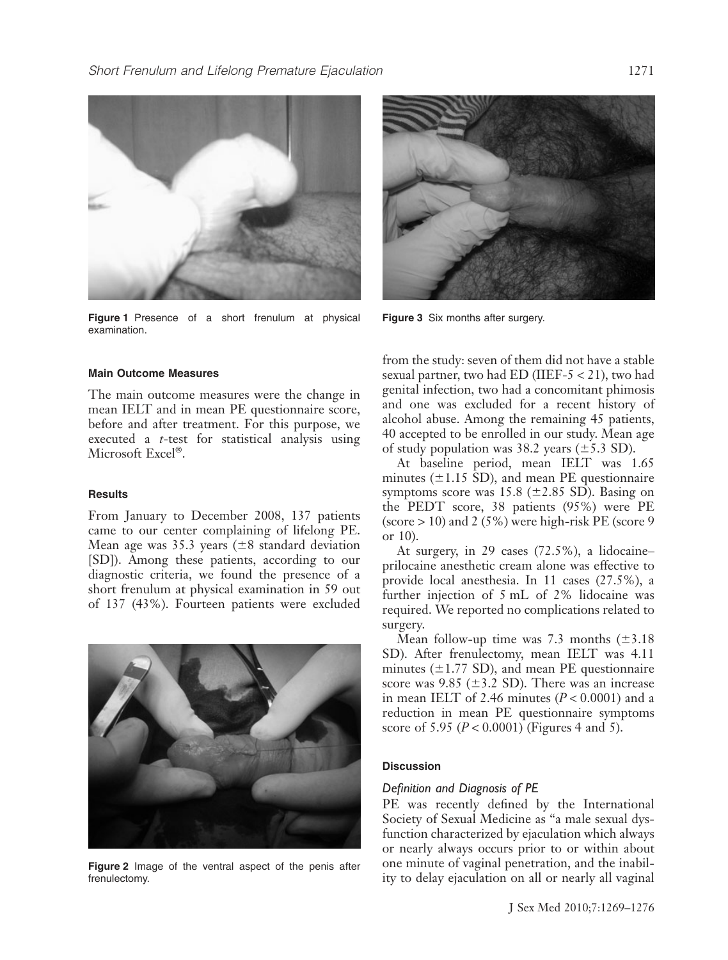

**Figure 1** Presence of a short frenulum at physical examination.

## **Main Outcome Measures**

The main outcome measures were the change in mean IELT and in mean PE questionnaire score, before and after treatment. For this purpose, we executed a *t*-test for statistical analysis using Microsoft Excel<sup>®</sup>.

#### **Results**

From January to December 2008, 137 patients came to our center complaining of lifelong PE. Mean age was 35.3 years  $(\pm 8 \text{ standard deviation})$ [SD]). Among these patients, according to our diagnostic criteria, we found the presence of a short frenulum at physical examination in 59 out of 137 (43%). Fourteen patients were excluded



**Figure 2** Image of the ventral aspect of the penis after frenulectomy.



**Figure 3** Six months after surgery.

from the study: seven of them did not have a stable sexual partner, two had ED (IIEF-5 < 21), two had genital infection, two had a concomitant phimosis and one was excluded for a recent history of alcohol abuse. Among the remaining 45 patients, 40 accepted to be enrolled in our study. Mean age of study population was 38.2 years ( $\pm$ 5.3 SD).

At baseline period, mean IELT was 1.65 minutes ( $\pm$ 1.15 SD), and mean PE questionnaire symptoms score was  $15.8 \ (\pm 2.85 \ \text{SD})$ . Basing on the PEDT score, 38 patients (95%) were PE (score > 10) and 2 (5%) were high-risk PE (score 9 or 10).

At surgery, in 29 cases (72.5%), a lidocaine– prilocaine anesthetic cream alone was effective to provide local anesthesia. In 11 cases (27.5%), a further injection of 5 mL of 2% lidocaine was required. We reported no complications related to surgery.

Mean follow-up time was 7.3 months  $(\pm 3.18)$ SD). After frenulectomy, mean IELT was 4.11 minutes ( $\pm$ 1.77 SD), and mean PE questionnaire score was  $9.85 \ (\pm 3.2 \ SD)$ . There was an increase in mean IELT of 2.46 minutes  $(P < 0.0001)$  and a reduction in mean PE questionnaire symptoms score of 5.95 (*P* < 0.0001) (Figures 4 and 5).

## **Discussion**

# *Definition and Diagnosis of PE*

PE was recently defined by the International Society of Sexual Medicine as "a male sexual dysfunction characterized by ejaculation which always or nearly always occurs prior to or within about one minute of vaginal penetration, and the inability to delay ejaculation on all or nearly all vaginal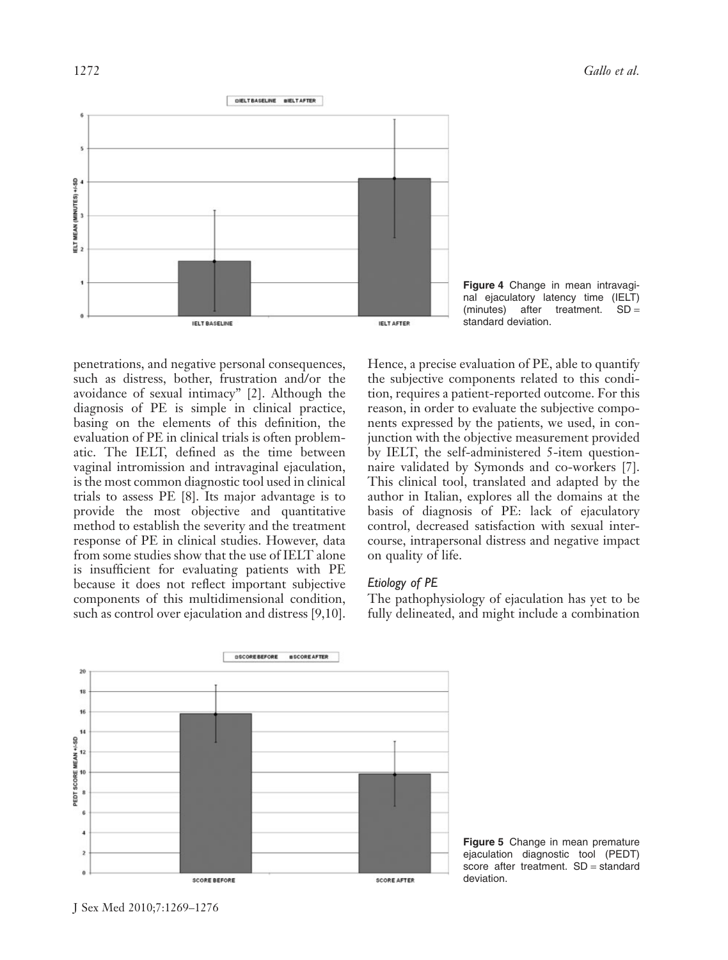



penetrations, and negative personal consequences, such as distress, bother, frustration and/or the avoidance of sexual intimacy" [2]. Although the diagnosis of PE is simple in clinical practice, basing on the elements of this definition, the evaluation of PE in clinical trials is often problematic. The IELT, defined as the time between vaginal intromission and intravaginal ejaculation, is the most common diagnostic tool used in clinical trials to assess PE [8]. Its major advantage is to provide the most objective and quantitative method to establish the severity and the treatment response of PE in clinical studies. However, data from some studies show that the use of IELT alone is insufficient for evaluating patients with PE because it does not reflect important subjective components of this multidimensional condition, such as control over ejaculation and distress [9,10].

Hence, a precise evaluation of PE, able to quantify the subjective components related to this condition, requires a patient-reported outcome. For this reason, in order to evaluate the subjective components expressed by the patients, we used, in conjunction with the objective measurement provided by IELT, the self-administered 5-item questionnaire validated by Symonds and co-workers [7]. This clinical tool, translated and adapted by the author in Italian, explores all the domains at the basis of diagnosis of PE: lack of ejaculatory control, decreased satisfaction with sexual intercourse, intrapersonal distress and negative impact on quality of life.

# *Etiology of PE*

The pathophysiology of ejaculation has yet to be fully delineated, and might include a combination



**Figure 5** Change in mean premature ejaculation diagnostic tool (PEDT) score after treatment. SD = standard deviation.

J Sex Med 2010;7:1269–1276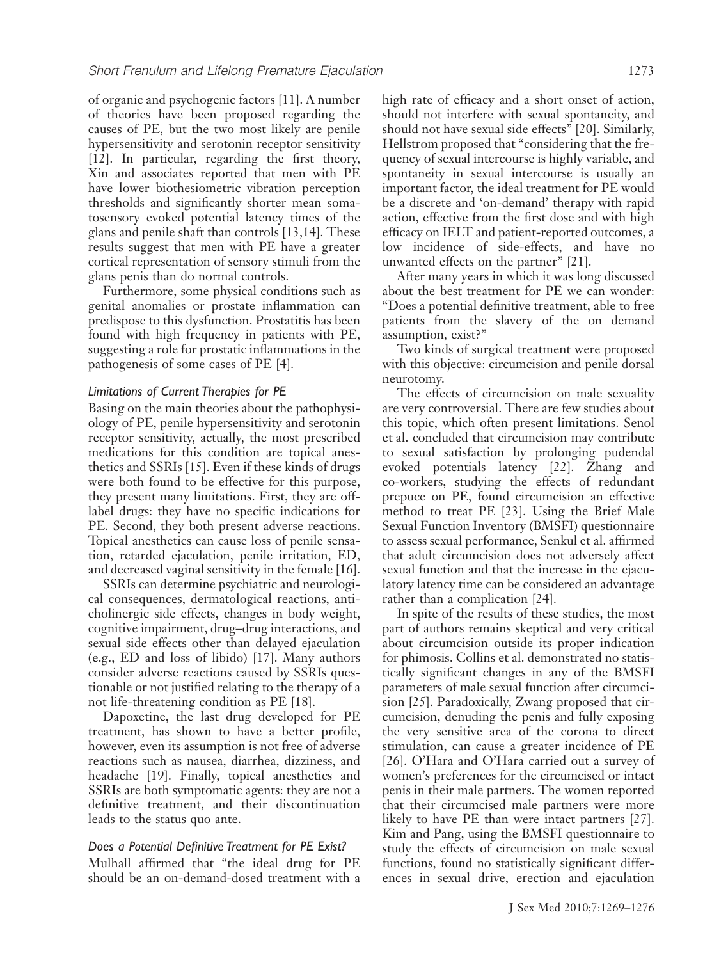of organic and psychogenic factors [11]. A number of theories have been proposed regarding the causes of PE, but the two most likely are penile hypersensitivity and serotonin receptor sensitivity [12]. In particular, regarding the first theory, Xin and associates reported that men with PE have lower biothesiometric vibration perception thresholds and significantly shorter mean somatosensory evoked potential latency times of the glans and penile shaft than controls [13,14]. These results suggest that men with PE have a greater cortical representation of sensory stimuli from the glans penis than do normal controls.

Furthermore, some physical conditions such as genital anomalies or prostate inflammation can predispose to this dysfunction. Prostatitis has been found with high frequency in patients with PE, suggesting a role for prostatic inflammations in the pathogenesis of some cases of PE [4].

# *Limitations of Current Therapies for PE*

Basing on the main theories about the pathophysiology of PE, penile hypersensitivity and serotonin receptor sensitivity, actually, the most prescribed medications for this condition are topical anesthetics and SSRIs [15]. Even if these kinds of drugs were both found to be effective for this purpose, they present many limitations. First, they are offlabel drugs: they have no specific indications for PE. Second, they both present adverse reactions. Topical anesthetics can cause loss of penile sensation, retarded ejaculation, penile irritation, ED, and decreased vaginal sensitivity in the female [16].

SSRIs can determine psychiatric and neurological consequences, dermatological reactions, anticholinergic side effects, changes in body weight, cognitive impairment, drug–drug interactions, and sexual side effects other than delayed ejaculation (e.g., ED and loss of libido) [17]. Many authors consider adverse reactions caused by SSRIs questionable or not justified relating to the therapy of a not life-threatening condition as PE [18].

Dapoxetine, the last drug developed for PE treatment, has shown to have a better profile, however, even its assumption is not free of adverse reactions such as nausea, diarrhea, dizziness, and headache [19]. Finally, topical anesthetics and SSRIs are both symptomatic agents: they are not a definitive treatment, and their discontinuation leads to the status quo ante.

# *Does a Potential Definitive Treatment for PE Exist?*

Mulhall affirmed that "the ideal drug for PE should be an on-demand-dosed treatment with a high rate of efficacy and a short onset of action, should not interfere with sexual spontaneity, and should not have sexual side effects" [20]. Similarly, Hellstrom proposed that "considering that the frequency of sexual intercourse is highly variable, and spontaneity in sexual intercourse is usually an important factor, the ideal treatment for PE would be a discrete and 'on-demand' therapy with rapid action, effective from the first dose and with high efficacy on IELT and patient-reported outcomes, a low incidence of side-effects, and have no unwanted effects on the partner" [21].

After many years in which it was long discussed about the best treatment for PE we can wonder: "Does a potential definitive treatment, able to free patients from the slavery of the on demand assumption, exist?"

Two kinds of surgical treatment were proposed with this objective: circumcision and penile dorsal neurotomy.

The effects of circumcision on male sexuality are very controversial. There are few studies about this topic, which often present limitations. Senol et al. concluded that circumcision may contribute to sexual satisfaction by prolonging pudendal evoked potentials latency [22]. Zhang and co-workers, studying the effects of redundant prepuce on PE, found circumcision an effective method to treat PE [23]. Using the Brief Male Sexual Function Inventory (BMSFI) questionnaire to assess sexual performance, Senkul et al. affirmed that adult circumcision does not adversely affect sexual function and that the increase in the ejaculatory latency time can be considered an advantage rather than a complication [24].

In spite of the results of these studies, the most part of authors remains skeptical and very critical about circumcision outside its proper indication for phimosis. Collins et al. demonstrated no statistically significant changes in any of the BMSFI parameters of male sexual function after circumcision [25]. Paradoxically, Zwang proposed that circumcision, denuding the penis and fully exposing the very sensitive area of the corona to direct stimulation, can cause a greater incidence of PE [26]. O'Hara and O'Hara carried out a survey of women's preferences for the circumcised or intact penis in their male partners. The women reported that their circumcised male partners were more likely to have PE than were intact partners [27]. Kim and Pang, using the BMSFI questionnaire to study the effects of circumcision on male sexual functions, found no statistically significant differences in sexual drive, erection and ejaculation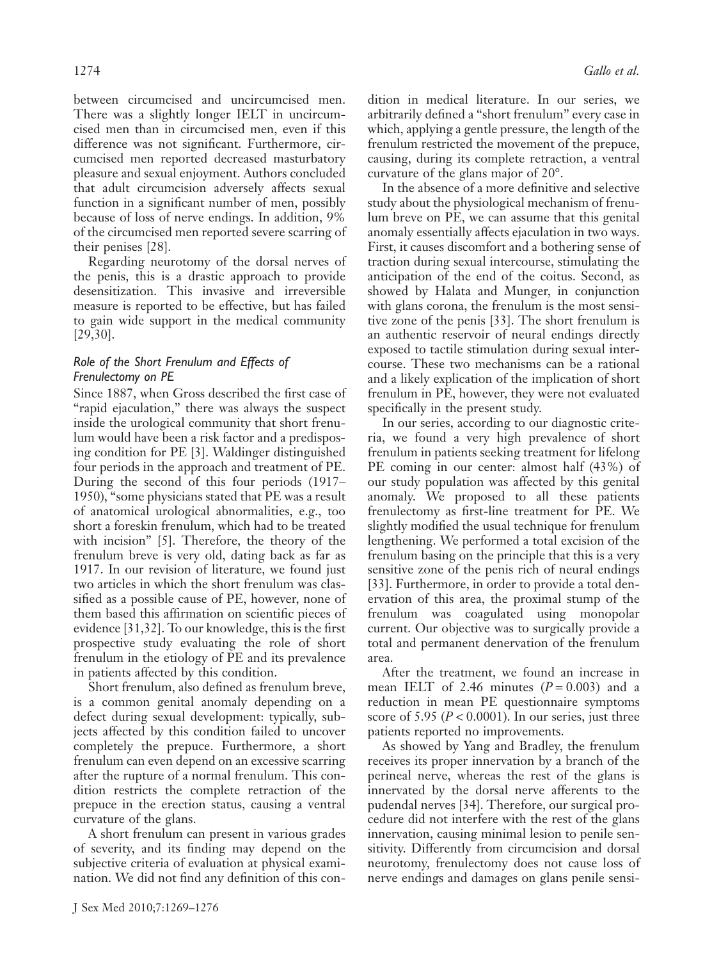between circumcised and uncircumcised men. There was a slightly longer IELT in uncircumcised men than in circumcised men, even if this difference was not significant. Furthermore, circumcised men reported decreased masturbatory pleasure and sexual enjoyment. Authors concluded that adult circumcision adversely affects sexual function in a significant number of men, possibly because of loss of nerve endings. In addition, 9% of the circumcised men reported severe scarring of their penises [28].

Regarding neurotomy of the dorsal nerves of the penis, this is a drastic approach to provide desensitization. This invasive and irreversible measure is reported to be effective, but has failed to gain wide support in the medical community [29,30].

# *Role of the Short Frenulum and Effects of Frenulectomy on PE*

Since 1887, when Gross described the first case of "rapid ejaculation," there was always the suspect inside the urological community that short frenulum would have been a risk factor and a predisposing condition for PE [3]. Waldinger distinguished four periods in the approach and treatment of PE. During the second of this four periods (1917– 1950), "some physicians stated that PE was a result of anatomical urological abnormalities, e.g., too short a foreskin frenulum, which had to be treated with incision" [5]. Therefore, the theory of the frenulum breve is very old, dating back as far as 1917. In our revision of literature, we found just two articles in which the short frenulum was classified as a possible cause of PE, however, none of them based this affirmation on scientific pieces of evidence [31,32]. To our knowledge, this is the first prospective study evaluating the role of short frenulum in the etiology of PE and its prevalence in patients affected by this condition.

Short frenulum, also defined as frenulum breve, is a common genital anomaly depending on a defect during sexual development: typically, subjects affected by this condition failed to uncover completely the prepuce. Furthermore, a short frenulum can even depend on an excessive scarring after the rupture of a normal frenulum. This condition restricts the complete retraction of the prepuce in the erection status, causing a ventral curvature of the glans.

A short frenulum can present in various grades of severity, and its finding may depend on the subjective criteria of evaluation at physical examination. We did not find any definition of this con-

J Sex Med 2010;7:1269–1276

dition in medical literature. In our series, we arbitrarily defined a "short frenulum" every case in which, applying a gentle pressure, the length of the frenulum restricted the movement of the prepuce, causing, during its complete retraction, a ventral curvature of the glans major of 20°.

In the absence of a more definitive and selective study about the physiological mechanism of frenulum breve on PE, we can assume that this genital anomaly essentially affects ejaculation in two ways. First, it causes discomfort and a bothering sense of traction during sexual intercourse, stimulating the anticipation of the end of the coitus. Second, as showed by Halata and Munger, in conjunction with glans corona, the frenulum is the most sensitive zone of the penis [33]. The short frenulum is an authentic reservoir of neural endings directly exposed to tactile stimulation during sexual intercourse. These two mechanisms can be a rational and a likely explication of the implication of short frenulum in PE, however, they were not evaluated specifically in the present study.

In our series, according to our diagnostic criteria, we found a very high prevalence of short frenulum in patients seeking treatment for lifelong PE coming in our center: almost half (43%) of our study population was affected by this genital anomaly. We proposed to all these patients frenulectomy as first-line treatment for PE. We slightly modified the usual technique for frenulum lengthening. We performed a total excision of the frenulum basing on the principle that this is a very sensitive zone of the penis rich of neural endings [33]. Furthermore, in order to provide a total denervation of this area, the proximal stump of the frenulum was coagulated using monopolar current. Our objective was to surgically provide a total and permanent denervation of the frenulum area.

After the treatment, we found an increase in mean IELT of 2.46 minutes  $(P = 0.003)$  and a reduction in mean PE questionnaire symptoms score of 5.95 ( $P < 0.0001$ ). In our series, just three patients reported no improvements.

As showed by Yang and Bradley, the frenulum receives its proper innervation by a branch of the perineal nerve, whereas the rest of the glans is innervated by the dorsal nerve afferents to the pudendal nerves [34]. Therefore, our surgical procedure did not interfere with the rest of the glans innervation, causing minimal lesion to penile sensitivity. Differently from circumcision and dorsal neurotomy, frenulectomy does not cause loss of nerve endings and damages on glans penile sensi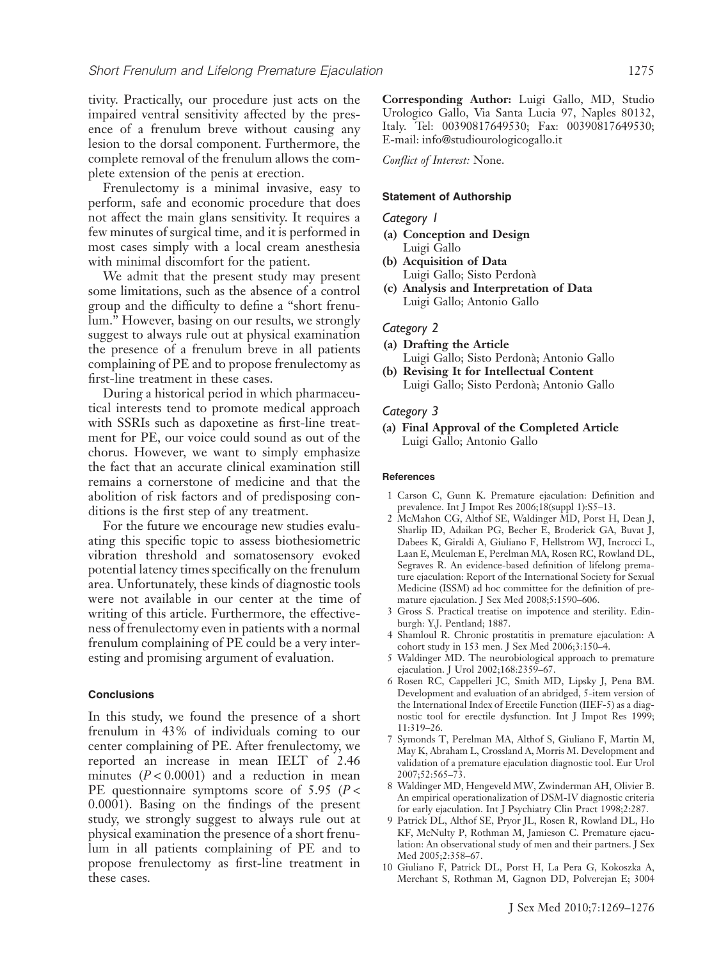tivity. Practically, our procedure just acts on the impaired ventral sensitivity affected by the presence of a frenulum breve without causing any lesion to the dorsal component. Furthermore, the complete removal of the frenulum allows the complete extension of the penis at erection.

Frenulectomy is a minimal invasive, easy to perform, safe and economic procedure that does not affect the main glans sensitivity. It requires a few minutes of surgical time, and it is performed in most cases simply with a local cream anesthesia with minimal discomfort for the patient.

We admit that the present study may present some limitations, such as the absence of a control group and the difficulty to define a "short frenulum." However, basing on our results, we strongly suggest to always rule out at physical examination the presence of a frenulum breve in all patients complaining of PE and to propose frenulectomy as first-line treatment in these cases.

During a historical period in which pharmaceutical interests tend to promote medical approach with SSRIs such as dapoxetine as first-line treatment for PE, our voice could sound as out of the chorus. However, we want to simply emphasize the fact that an accurate clinical examination still remains a cornerstone of medicine and that the abolition of risk factors and of predisposing conditions is the first step of any treatment.

For the future we encourage new studies evaluating this specific topic to assess biothesiometric vibration threshold and somatosensory evoked potential latency times specifically on the frenulum area. Unfortunately, these kinds of diagnostic tools were not available in our center at the time of writing of this article. Furthermore, the effectiveness of frenulectomy even in patients with a normal frenulum complaining of PE could be a very interesting and promising argument of evaluation.

## **Conclusions**

In this study, we found the presence of a short frenulum in 43% of individuals coming to our center complaining of PE. After frenulectomy, we reported an increase in mean IELT of 2.46 minutes  $(P < 0.0001)$  and a reduction in mean PE questionnaire symptoms score of 5.95 (*P* < 0.0001). Basing on the findings of the present study, we strongly suggest to always rule out at physical examination the presence of a short frenulum in all patients complaining of PE and to propose frenulectomy as first-line treatment in these cases.

**Corresponding Author:** Luigi Gallo, MD, Studio Urologico Gallo, Via Santa Lucia 97, Naples 80132, Italy. Tel: 00390817649530; Fax: 00390817649530; E-mail: info@studiourologicogallo.it

*Conflict of Interest:* None.

## **Statement of Authorship**

*Category 1*

- **(a) Conception and Design** Luigi Gallo
- **(b) Acquisition of Data** Luigi Gallo; Sisto Perdonà
- **(c) Analysis and Interpretation of Data** Luigi Gallo; Antonio Gallo

#### *Category 2*

- **(a) Drafting the Article**
- Luigi Gallo; Sisto Perdonà; Antonio Gallo **(b) Revising It for Intellectual Content** Luigi Gallo; Sisto Perdonà; Antonio Gallo

#### *Category 3*

**(a) Final Approval of the Completed Article** Luigi Gallo; Antonio Gallo

#### **References**

- 1 Carson C, Gunn K. Premature ejaculation: Definition and prevalence. Int J Impot Res 2006;18(suppl 1):S5–13.
- 2 McMahon CG, Althof SE, Waldinger MD, Porst H, Dean J, Sharlip ID, Adaikan PG, Becher E, Broderick GA, Buvat J, Dabees K, Giraldi A, Giuliano F, Hellstrom WJ, Incrocci L, Laan E, Meuleman E, Perelman MA, Rosen RC, Rowland DL, Segraves R. An evidence-based definition of lifelong premature ejaculation: Report of the International Society for Sexual Medicine (ISSM) ad hoc committee for the definition of premature ejaculation. J Sex Med 2008;5:1590–606.
- 3 Gross S. Practical treatise on impotence and sterility. Edinburgh: Y.J. Pentland; 1887.
- 4 Shamloul R. Chronic prostatitis in premature ejaculation: A cohort study in 153 men. J Sex Med 2006;3:150–4.
- 5 Waldinger MD. The neurobiological approach to premature ejaculation. J Urol 2002;168:2359–67.
- 6 Rosen RC, Cappelleri JC, Smith MD, Lipsky J, Pena BM. Development and evaluation of an abridged, 5-item version of the International Index of Erectile Function (IIEF-5) as a diagnostic tool for erectile dysfunction. Int J Impot Res 1999; 11:319–26.
- 7 Symonds T, Perelman MA, Althof S, Giuliano F, Martin M, May K, Abraham L, Crossland A, Morris M. Development and validation of a premature ejaculation diagnostic tool. Eur Urol 2007;52:565–73.
- 8 Waldinger MD, Hengeveld MW, Zwinderman AH, Olivier B. An empirical operationalization of DSM-IV diagnostic criteria for early ejaculation. Int J Psychiatry Clin Pract 1998;2:287.
- 9 Patrick DL, Althof SE, Pryor JL, Rosen R, Rowland DL, Ho KF, McNulty P, Rothman M, Jamieson C. Premature ejaculation: An observational study of men and their partners. J Sex Med 2005;2:358–67.
- 10 Giuliano F, Patrick DL, Porst H, La Pera G, Kokoszka A, Merchant S, Rothman M, Gagnon DD, Polverejan E; 3004